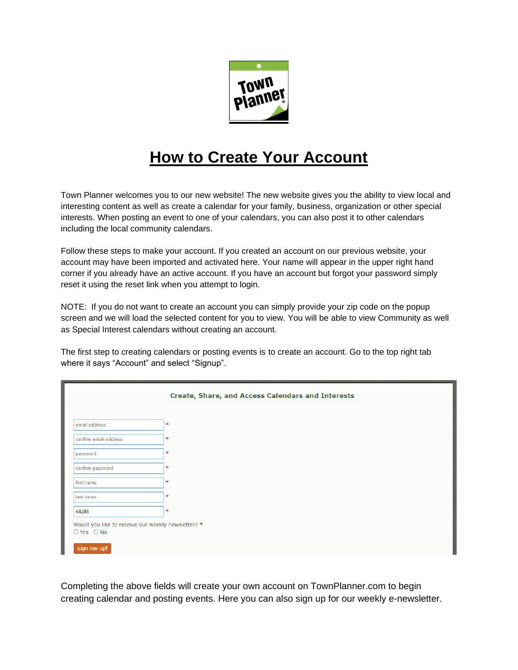

## **How to Create Your Account**

Town Planner welcomes you to our new website! The new website gives you the ability to view local and interesting content as well as create a calendar for your family, business, organization or other special interests. When posting an event to one of your calendars, you can also post it to other calendars including the local community calendars.

Follow these steps to make your account. If you created an account on our previous website, your account may have been imported and activated here. Your name will appear in the upper right hand corner if you already have an active account. If you have an account but forgot your password simply reset it using the reset link when you attempt to login.

NOTE: If you do not want to create an account you can simply provide your zip code on the popup screen and we will load the selected content for you to view. You will be able to view Community as well as Special Interest calendars without creating an account.

The first step to creating calendars or posting events is to create an account. Go to the top right tab where it says "Account" and select "Signup".

| Create, Share, and Access Calendars and Interests                    |        |
|----------------------------------------------------------------------|--------|
|                                                                      |        |
| email address                                                        | *      |
| confirm email address                                                | $\ast$ |
| password                                                             | *      |
| confirm password                                                     | $\ast$ |
| first name                                                           | $\ast$ |
| last name                                                            | *      |
| 44286                                                                | $\ast$ |
| Would you like to receive our weekly newsletter? *<br>$O$ Yes $O$ No |        |
| sign me up!                                                          |        |

Completing the above fields will create your own account on TownPlanner.com to begin creating calendar and posting events. Here you can also sign up for our weekly e-newsletter.